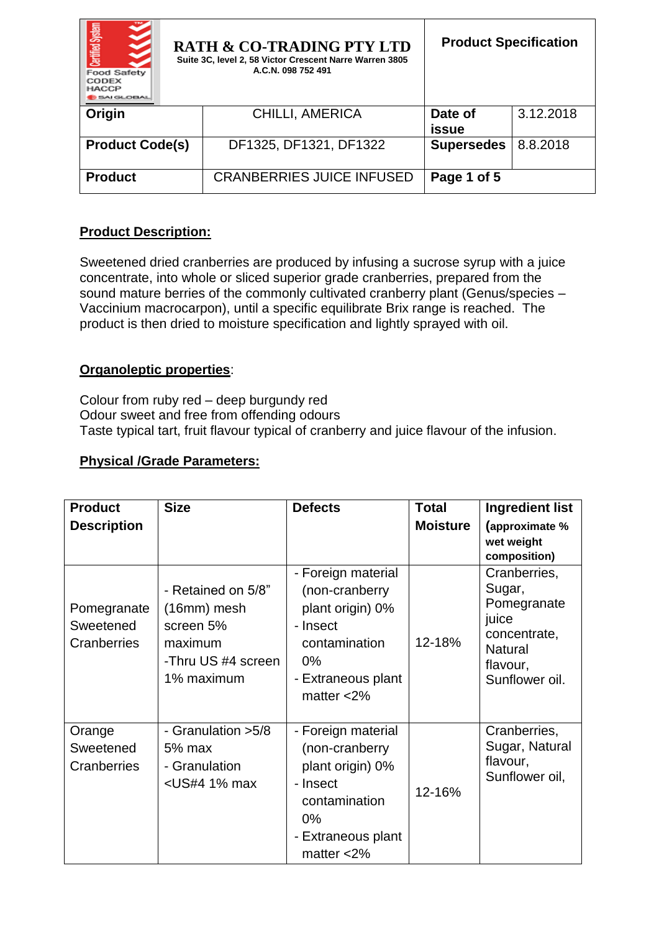| Certified System<br><b>Food Safety</b><br>CODEX<br><b>HACCP</b><br><b>MIGLOBAL</b> | <b>RATH &amp; CO-TRADING PTY LTD</b><br>Suite 3C, level 2, 58 Victor Crescent Narre Warren 3805<br>A.C.N. 098 752 491 | <b>Product Specification</b> |           |
|------------------------------------------------------------------------------------|-----------------------------------------------------------------------------------------------------------------------|------------------------------|-----------|
| Origin                                                                             | CHILLI, AMERICA                                                                                                       | Date of                      | 3.12.2018 |
|                                                                                    |                                                                                                                       | issue                        |           |
| <b>Product Code(s)</b>                                                             | DF1325, DF1321, DF1322                                                                                                | <b>Supersedes</b>            | 8.8.2018  |
|                                                                                    |                                                                                                                       |                              |           |
| <b>Product</b>                                                                     | <b>CRANBERRIES JUICE INFUSED</b>                                                                                      | Page 1 of 5                  |           |

## **Product Description:**

Sweetened dried cranberries are produced by infusing a sucrose syrup with a juice concentrate, into whole or sliced superior grade cranberries, prepared from the sound mature berries of the commonly cultivated cranberry plant (Genus/species – Vaccinium macrocarpon), until a specific equilibrate Brix range is reached. The product is then dried to moisture specification and lightly sprayed with oil.

### **Organoleptic properties**:

Colour from ruby red – deep burgundy red Odour sweet and free from offending odours Taste typical tart, fruit flavour typical of cranberry and juice flavour of the infusion.

## **Physical /Grade Parameters:**

| <b>Product</b>                          | <b>Size</b>                                                                                                                                                                                                                                                                                                                                             | <b>Defects</b>                                                                                                                        | <b>Total</b>    | <b>Ingredient list</b>                                                                                         |
|-----------------------------------------|---------------------------------------------------------------------------------------------------------------------------------------------------------------------------------------------------------------------------------------------------------------------------------------------------------------------------------------------------------|---------------------------------------------------------------------------------------------------------------------------------------|-----------------|----------------------------------------------------------------------------------------------------------------|
| <b>Description</b>                      |                                                                                                                                                                                                                                                                                                                                                         |                                                                                                                                       | <b>Moisture</b> | (approximate %<br>wet weight<br>composition)                                                                   |
| Pomegranate<br>Sweetened<br>Cranberries | - Retained on 5/8"<br>$(16mm)$ mesh<br>screen 5%<br>maximum<br>-Thru US #4 screen<br>1% maximum                                                                                                                                                                                                                                                         | - Foreign material<br>(non-cranberry<br>plant origin) 0%<br>- Insect<br>contamination<br>$0\%$<br>- Extraneous plant<br>matter $<$ 2% | 12-18%          | Cranberries,<br>Sugar,<br>Pomegranate<br>juice<br>concentrate,<br><b>Natural</b><br>flavour,<br>Sunflower oil. |
| Orange<br>Sweetened<br>Cranberries      | - Granulation > 5/8<br>5% max<br>- Granulation<br><us#4 1%="" max<="" td=""><td>- Foreign material<br/>(non-cranberry<br/>plant origin) 0%<br/>- Insect<br/>contamination<br/><math>0\%</math><br/>- Extraneous plant<br/>matter <math>&lt;</math>2%</td><td>12-16%</td><td>Cranberries,<br/>Sugar, Natural<br/>flavour,<br/>Sunflower oil,</td></us#4> | - Foreign material<br>(non-cranberry<br>plant origin) 0%<br>- Insect<br>contamination<br>$0\%$<br>- Extraneous plant<br>matter $<$ 2% | 12-16%          | Cranberries,<br>Sugar, Natural<br>flavour,<br>Sunflower oil,                                                   |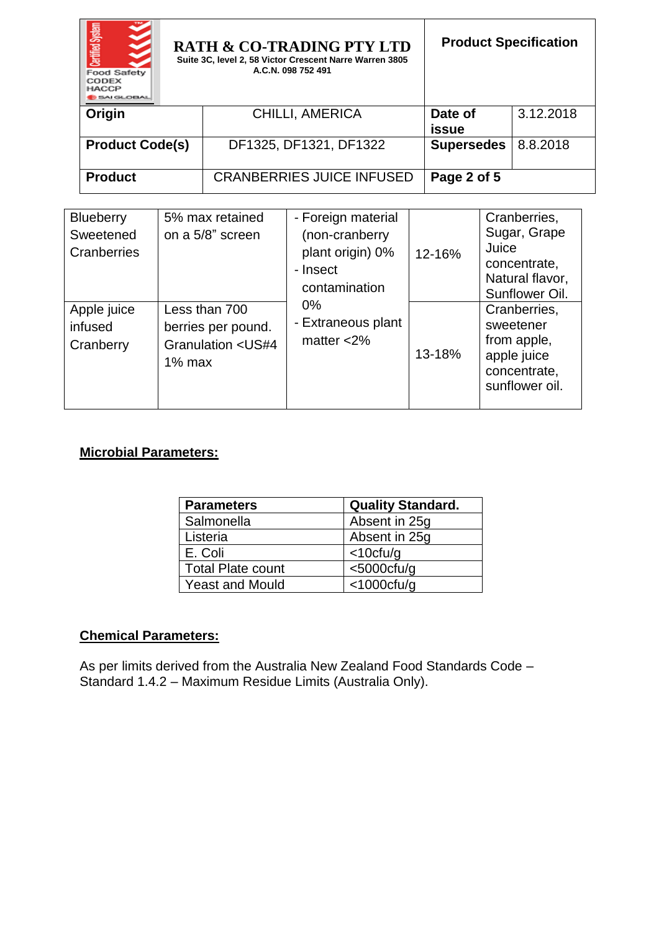| <b>Certified System</b><br><b>Food Safety</b><br>CODEX<br>HACCP<br><b>SAI GLOBAL</b> | <b>RATH &amp; CO-TRADING PTY LTD</b><br>Suite 3C, level 2, 58 Victor Crescent Narre Warren 3805<br>A.C.N. 098 752 491 | <b>Product Specification</b> |           |
|--------------------------------------------------------------------------------------|-----------------------------------------------------------------------------------------------------------------------|------------------------------|-----------|
| Origin                                                                               | <b>CHILLI, AMERICA</b>                                                                                                | Date of<br>issue             | 3.12.2018 |
| <b>Product Code(s)</b>                                                               | DF1325, DF1321, DF1322                                                                                                | <b>Supersedes</b>            | 8.8.2018  |
| <b>Product</b>                                                                       | <b>CRANBERRIES JUICE INFUSED</b>                                                                                      | Page 2 of 5                  |           |

| <b>Blueberry</b><br>Sweetened<br>Cranberries | 5% max retained<br>on a 5/8" screen                                                                     | - Foreign material<br>(non-cranberry<br>plant origin) 0%<br>- Insect<br>contamination | 12-16% | Cranberries,<br>Sugar, Grape<br>Juice<br>concentrate,<br>Natural flavor,<br>Sunflower Oil. |
|----------------------------------------------|---------------------------------------------------------------------------------------------------------|---------------------------------------------------------------------------------------|--------|--------------------------------------------------------------------------------------------|
| Apple juice<br>infused<br>Cranberry          | Less than 700<br>berries per pound.<br><b>Granulation <us#4< b=""><br/><math>1\%</math> max</us#4<></b> | $0\%$<br>- Extraneous plant<br>matter $<$ 2%                                          | 13-18% | Cranberries,<br>sweetener<br>from apple,<br>apple juice<br>concentrate,<br>sunflower oil.  |

## **Microbial Parameters:**

| <b>Parameters</b>      | <b>Quality Standard.</b> |
|------------------------|--------------------------|
| Salmonella             | Absent in 25g            |
| Listeria               | Absent in 25q            |
| l E. Coli              | $<$ 10cfu/g              |
| Total Plate count      | $<$ 5000 $ctu$ /g        |
| <b>Yeast and Mould</b> | $<$ 1000 $ctu$ /g        |

### **Chemical Parameters:**

As per limits derived from the Australia New Zealand Food Standards Code – Standard 1.4.2 – Maximum Residue Limits (Australia Only).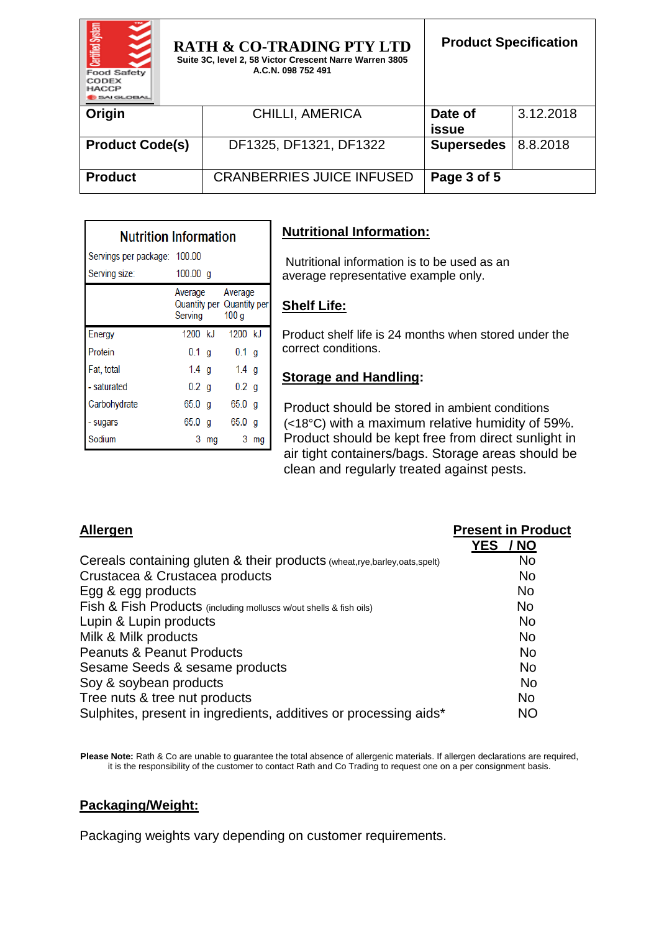| Certified System<br><b>Food Safety</b><br>CODEX<br><b>HACCP</b><br><b>MIGLOBAL</b> | <b>RATH &amp; CO-TRADING PTY LTD</b><br>Suite 3C, level 2, 58 Victor Crescent Narre Warren 3805<br>A.C.N. 098 752 491 | <b>Product Specification</b> |           |
|------------------------------------------------------------------------------------|-----------------------------------------------------------------------------------------------------------------------|------------------------------|-----------|
| Origin                                                                             | <b>CHILLI, AMERICA</b>                                                                                                | Date of<br>issue             | 3.12.2018 |
| <b>Product Code(s)</b>                                                             | DF1325, DF1321, DF1322                                                                                                | <b>Supersedes</b>            | 8.8.2018  |
| <b>Product</b>                                                                     | <b>CRANBERRIES JUICE INFUSED</b>                                                                                      | Page 3 of 5                  |           |

| <b>Nutrition Information</b> |          |         |                                                                  |    |  |
|------------------------------|----------|---------|------------------------------------------------------------------|----|--|
| Servings per package: 100.00 |          |         |                                                                  |    |  |
| Serving size:                | 100.00 a |         |                                                                  |    |  |
|                              | Serving  |         | Average Average<br>Quantity per Quantity per<br>100 <sub>g</sub> |    |  |
| Energy                       | 1200 kJ  |         | 1200 kJ                                                          |    |  |
| Protein                      | $0.1$ g  |         | $0.1$ g                                                          |    |  |
| Fat, total                   | $1.4$ g  |         | 1.4 $g$                                                          |    |  |
| - saturated                  |          | $0.2$ g | 0.2 <sub>q</sub>                                                 |    |  |
| Carbohydrate                 | 65.0 g   |         | 65.0 <sub>a</sub>                                                |    |  |
| - sugars                     | 65.0 g   |         | 65.0 q                                                           |    |  |
| Sodium                       | 3        | ma      | 3                                                                | ma |  |

# **Nutritional Information:**

Nutritional information is to be used as an average representative example only.

### **Shelf Life:**

Product shelf life is 24 months when stored under the correct conditions.

#### **Storage and Handling:**

Product should be stored in ambient conditions (<18°C) with a maximum relative humidity of 59%. Product should be kept free from direct sunlight in air tight containers/bags. Storage areas should be clean and regularly treated against pests.

| Allergen                                                                 | <b>Present in Product</b> |
|--------------------------------------------------------------------------|---------------------------|
|                                                                          | <b>YES</b><br>/ NO        |
| Cereals containing gluten & their products (wheat,rye,barley,oats,spelt) | <b>No</b>                 |
| Crustacea & Crustacea products                                           | <b>No</b>                 |
| Egg & egg products                                                       | <b>No</b>                 |
| Fish & Fish Products (including molluscs w/out shells & fish oils)       | <b>No</b>                 |
| Lupin & Lupin products                                                   | <b>No</b>                 |
| Milk & Milk products                                                     | <b>No</b>                 |
| <b>Peanuts &amp; Peanut Products</b>                                     | <b>No</b>                 |
| Sesame Seeds & sesame products                                           | <b>No</b>                 |
| Soy & soybean products                                                   | <b>No</b>                 |
| Tree nuts & tree nut products                                            | <b>No</b>                 |
| Sulphites, present in ingredients, additives or processing aids*         | <b>NO</b>                 |

Please Note: Rath & Co are unable to guarantee the total absence of allergenic materials. If allergen declarations are required, it is the responsibility of the customer to contact Rath and Co Trading to request one on a per consignment basis.

#### **Packaging/Weight:**

Packaging weights vary depending on customer requirements.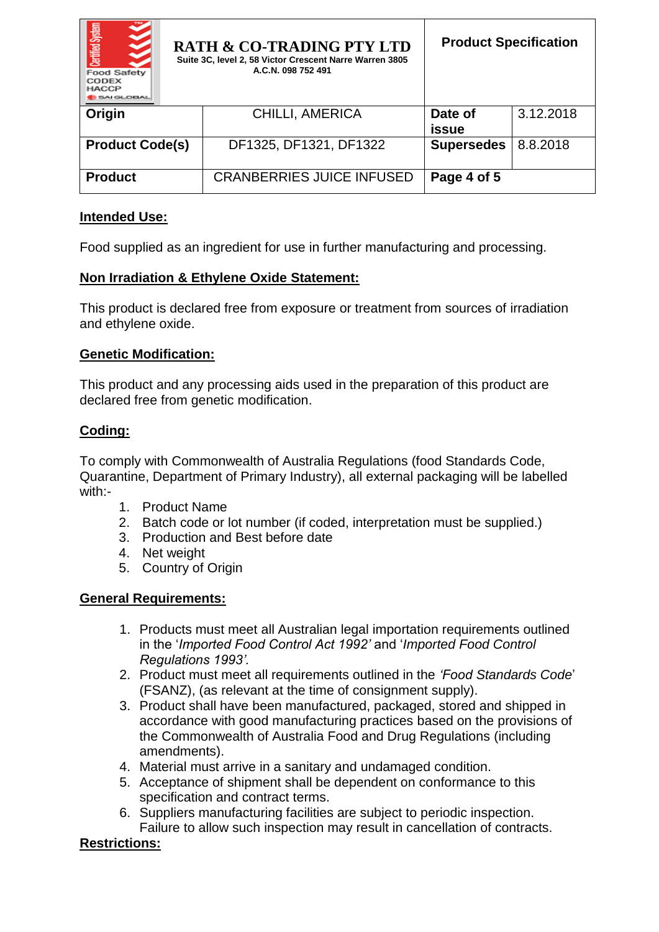| Certified System<br><b>Food Safety</b><br>CODEX<br><b>HACCP</b><br>5AI GLOBAL | <b>RATH &amp; CO-TRADING PTY LTD</b><br>Suite 3C, level 2, 58 Victor Crescent Narre Warren 3805<br>A.C.N. 098 752 491 | <b>Product Specification</b> |           |
|-------------------------------------------------------------------------------|-----------------------------------------------------------------------------------------------------------------------|------------------------------|-----------|
| Origin                                                                        | <b>CHILLI, AMERICA</b>                                                                                                | Date of<br>issue             | 3.12.2018 |
| <b>Product Code(s)</b>                                                        | DF1325, DF1321, DF1322                                                                                                | <b>Supersedes</b>            | 8.8.2018  |
| <b>Product</b>                                                                | <b>CRANBERRIES JUICE INFUSED</b>                                                                                      | Page 4 of 5                  |           |

## **Intended Use:**

Food supplied as an ingredient for use in further manufacturing and processing.

#### **Non Irradiation & Ethylene Oxide Statement:**

This product is declared free from exposure or treatment from sources of irradiation and ethylene oxide.

#### **Genetic Modification:**

This product and any processing aids used in the preparation of this product are declared free from genetic modification.

### **Coding:**

To comply with Commonwealth of Australia Regulations (food Standards Code, Quarantine, Department of Primary Industry), all external packaging will be labelled with:-

- 1. Product Name
- 2. Batch code or lot number (if coded, interpretation must be supplied.)
- 3. Production and Best before date
- 4. Net weight
- 5. Country of Origin

### **General Requirements:**

- 1. Products must meet all Australian legal importation requirements outlined in the '*Imported Food Control Act 1992'* and '*Imported Food Control Regulations 1993'.*
- 2. Product must meet all requirements outlined in the *'Food Standards Code*' (FSANZ), (as relevant at the time of consignment supply).
- 3. Product shall have been manufactured, packaged, stored and shipped in accordance with good manufacturing practices based on the provisions of the Commonwealth of Australia Food and Drug Regulations (including amendments).
- 4. Material must arrive in a sanitary and undamaged condition.
- 5. Acceptance of shipment shall be dependent on conformance to this specification and contract terms.
- 6. Suppliers manufacturing facilities are subject to periodic inspection. Failure to allow such inspection may result in cancellation of contracts.

### **Restrictions:**